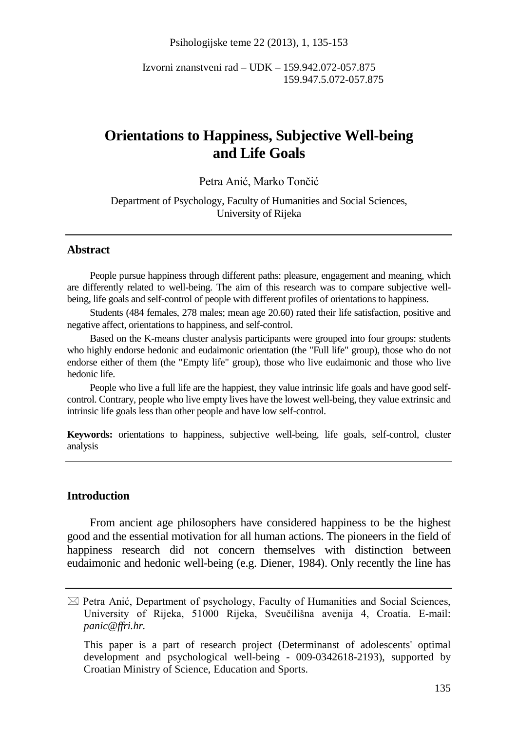Psihologijske teme 22 (2013), 1, 135-153

Izvorni znanstveni rad – UDK – 159.942.072-057.875 159.947.5.072-057.875

# **Orientations to Happiness, Subjective Well-being and Life Goals**

### Petra Anić, Marko Tončić

Department of Psychology, Faculty of Humanities and Social Sciences, University of Rijeka

## **Abstract**

People pursue happiness through different paths: pleasure, engagement and meaning, which are differently related to well-being. The aim of this research was to compare subjective wellbeing, life goals and self-control of people with different profiles of orientations to happiness.

Students (484 females, 278 males; mean age 20.60) rated their life satisfaction, positive and negative affect, orientations to happiness, and self-control.

Based on the K-means cluster analysis participants were grouped into four groups: students who highly endorse hedonic and eudaimonic orientation (the "Full life" group), those who do not endorse either of them (the "Empty life" group), those who live eudaimonic and those who live hedonic life.

People who live a full life are the happiest, they value intrinsic life goals and have good selfcontrol. Contrary, people who live empty lives have the lowest well-being, they value extrinsic and intrinsic life goals less than other people and have low self-control.

**Keywords:** orientations to happiness, subjective well-being, life goals, self-control, cluster analysis

### **Introduction**

From ancient age philosophers have considered happiness to be the highest good and the essential motivation for all human actions. The pioneers in the field of happiness research did not concern themselves with distinction between eudaimonic and hedonic well-being (e.g. Diener, 1984). Only recently the line has

 $\boxtimes$  Petra Anić, Department of psychology, Faculty of Humanities and Social Sciences, University of Rijeka, 51000 Rijeka, Sveučilišna avenija 4, Croatia. E-mail: *panic@ffri.hr.*

This paper is a part of research project (Determinanst of adolescents' optimal development and psychological well-being - 009-0342618-2193), supported by Croatian Ministry of Science, Education and Sports.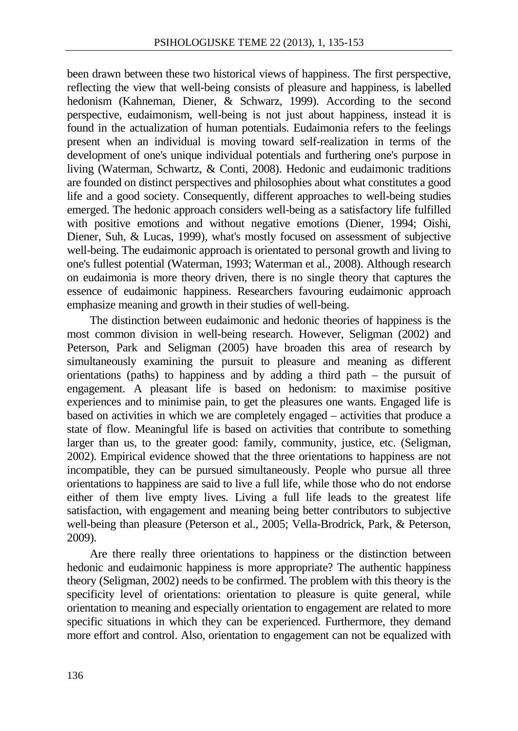been drawn between these two historical views of happiness. The first perspective, reflecting the view that well-being consists of pleasure and happiness, is labelled hedonism (Kahneman, Diener, & Schwarz, 1999). According to the second perspective, eudaimonism, well-being is not just about happiness, instead it is found in the actualization of human potentials. Eudaimonia refers to the feelings present when an individual is moving toward self-realization in terms of the development of one's unique individual potentials and furthering one's purpose in living (Waterman, Schwartz, & Conti, 2008). Hedonic and eudaimonic traditions are founded on distinct perspectives and philosophies about what constitutes a good life and a good society. Consequently, different approaches to well-being studies emerged. The hedonic approach considers well-being as a satisfactory life fulfilled with positive emotions and without negative emotions (Diener, 1994; Oishi, Diener, Suh, & Lucas, 1999), what's mostly focused on assessment of subjective well-being. The eudaimonic approach is orientated to personal growth and living to one's fullest potential (Waterman, 1993; Waterman et al., 2008). Although research on eudaimonia is more theory driven, there is no single theory that captures the essence of eudaimonic happiness. Researchers favouring eudaimonic approach emphasize meaning and growth in their studies of well-being.

The distinction between eudaimonic and hedonic theories of happiness is the most common division in well-being research. However, Seligman (2002) and Peterson, Park and Seligman (2005) have broaden this area of research by simultaneously examining the pursuit to pleasure and meaning as different orientations (paths) to happiness and by adding a third path – the pursuit of engagement. A pleasant life is based on hedonism: to maximise positive experiences and to minimise pain, to get the pleasures one wants. Engaged life is based on activities in which we are completely engaged – activities that produce a state of flow. Meaningful life is based on activities that contribute to something larger than us, to the greater good: family, community, justice, etc. (Seligman, 2002). Empirical evidence showed that the three orientations to happiness are not incompatible, they can be pursued simultaneously. People who pursue all three orientations to happiness are said to live a full life, while those who do not endorse either of them live empty lives. Living a full life leads to the greatest life satisfaction, with engagement and meaning being better contributors to subjective well-being than pleasure (Peterson et al., 2005; Vella-Brodrick, Park, & Peterson, 2009).

Are there really three orientations to happiness or the distinction between hedonic and eudaimonic happiness is more appropriate? The authentic happiness theory (Seligman, 2002) needs to be confirmed. The problem with this theory is the specificity level of orientations: orientation to pleasure is quite general, while orientation to meaning and especially orientation to engagement are related to more specific situations in which they can be experienced. Furthermore, they demand more effort and control. Also, orientation to engagement can not be equalized with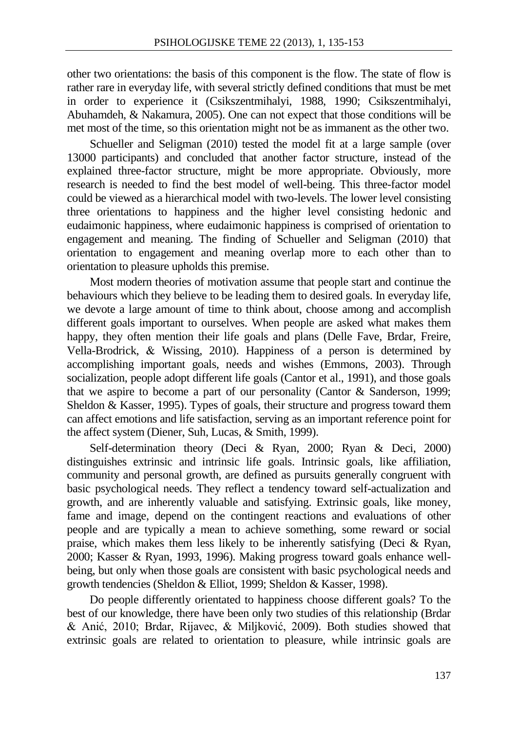other two orientations: the basis of this component is the flow. The state of flow is rather rare in everyday life, with several strictly defined conditions that must be met in order to experience it (Csikszentmihalyi, 1988, 1990; Csikszentmihalyi, Abuhamdeh, & Nakamura, 2005). One can not expect that those conditions will be met most of the time, so this orientation might not be as immanent as the other two.

Schueller and Seligman (2010) tested the model fit at a large sample (over 13000 participants) and concluded that another factor structure, instead of the explained three-factor structure, might be more appropriate. Obviously, more research is needed to find the best model of well-being. This three-factor model could be viewed as a hierarchical model with two-levels. The lower level consisting three orientations to happiness and the higher level consisting hedonic and eudaimonic happiness, where eudaimonic happiness is comprised of orientation to engagement and meaning. The finding of Schueller and Seligman (2010) that orientation to engagement and meaning overlap more to each other than to orientation to pleasure upholds this premise.

Most modern theories of motivation assume that people start and continue the behaviours which they believe to be leading them to desired goals. In everyday life, we devote a large amount of time to think about, choose among and accomplish different goals important to ourselves. When people are asked what makes them happy, they often mention their life goals and plans (Delle Fave, Brdar, Freire, Vella-Brodrick, & Wissing, 2010). Happiness of a person is determined by accomplishing important goals, needs and wishes (Emmons, 2003). Through socialization, people adopt different life goals (Cantor et al., 1991), and those goals that we aspire to become a part of our personality (Cantor & Sanderson, 1999; Sheldon & Kasser, 1995). Types of goals, their structure and progress toward them can affect emotions and life satisfaction, serving as an important reference point for the affect system (Diener, Suh, Lucas, & Smith, 1999).

Self-determination theory (Deci & Ryan, 2000; Ryan & Deci, 2000) distinguishes extrinsic and intrinsic life goals. Intrinsic goals, like affiliation, community and personal growth, are defined as pursuits generally congruent with basic psychological needs. They reflect a tendency toward self-actualization and growth, and are inherently valuable and satisfying. Extrinsic goals, like money, fame and image, depend on the contingent reactions and evaluations of other people and are typically a mean to achieve something, some reward or social praise, which makes them less likely to be inherently satisfying (Deci & Ryan, 2000; Kasser & Ryan, 1993, 1996). Making progress toward goals enhance wellbeing, but only when those goals are consistent with basic psychological needs and growth tendencies (Sheldon & Elliot, 1999; Sheldon & Kasser, 1998).

Do people differently orientated to happiness choose different goals? To the best of our knowledge, there have been only two studies of this relationship (Brdar & Anić, 2010; Brdar, Rijavec, & Miljković, 2009). Both studies showed that extrinsic goals are related to orientation to pleasure, while intrinsic goals are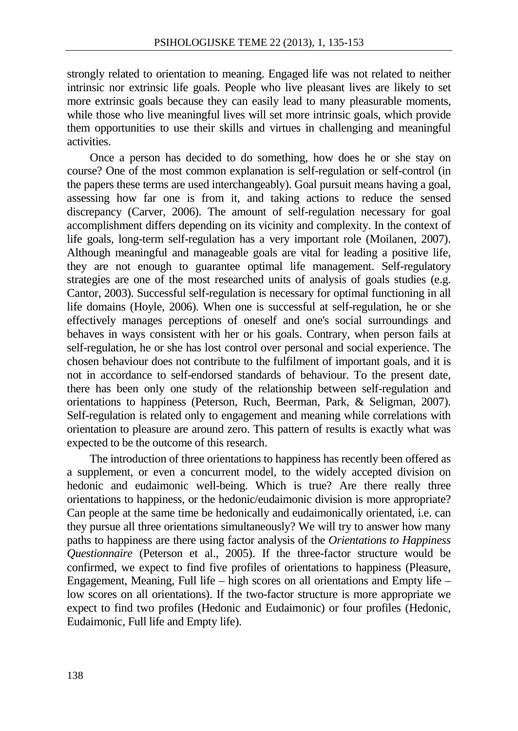strongly related to orientation to meaning. Engaged life was not related to neither intrinsic nor extrinsic life goals. People who live pleasant lives are likely to set more extrinsic goals because they can easily lead to many pleasurable moments, while those who live meaningful lives will set more intrinsic goals, which provide them opportunities to use their skills and virtues in challenging and meaningful activities.

Once a person has decided to do something, how does he or she stay on course? One of the most common explanation is self-regulation or self-control (in the papers these terms are used interchangeably). Goal pursuit means having a goal, assessing how far one is from it, and taking actions to reduce the sensed discrepancy (Carver, 2006). The amount of self-regulation necessary for goal accomplishment differs depending on its vicinity and complexity. In the context of life goals, long-term self-regulation has a very important role (Moilanen, 2007). Although meaningful and manageable goals are vital for leading a positive life, they are not enough to guarantee optimal life management. Self-regulatory strategies are one of the most researched units of analysis of goals studies (e.g. Cantor, 2003). Successful self-regulation is necessary for optimal functioning in all life domains (Hoyle, 2006). When one is successful at self-regulation, he or she effectively manages perceptions of oneself and one's social surroundings and behaves in ways consistent with her or his goals. Contrary, when person fails at self-regulation, he or she has lost control over personal and social experience. The chosen behaviour does not contribute to the fulfilment of important goals, and it is not in accordance to self-endorsed standards of behaviour. To the present date, there has been only one study of the relationship between self-regulation and orientations to happiness (Peterson, Ruch, Beerman, Park, & Seligman, 2007). Self-regulation is related only to engagement and meaning while correlations with orientation to pleasure are around zero. This pattern of results is exactly what was expected to be the outcome of this research.

The introduction of three orientations to happiness has recently been offered as a supplement, or even a concurrent model, to the widely accepted division on hedonic and eudaimonic well-being. Which is true? Are there really three orientations to happiness, or the hedonic/eudaimonic division is more appropriate? Can people at the same time be hedonically and eudaimonically orientated, i.e. can they pursue all three orientations simultaneously? We will try to answer how many paths to happiness are there using factor analysis of the *Orientations to Happiness Questionnaire* (Peterson et al., 2005). If the three-factor structure would be confirmed, we expect to find five profiles of orientations to happiness (Pleasure, Engagement, Meaning, Full life – high scores on all orientations and Empty life – low scores on all orientations). If the two-factor structure is more appropriate we expect to find two profiles (Hedonic and Eudaimonic) or four profiles (Hedonic, Eudaimonic, Full life and Empty life).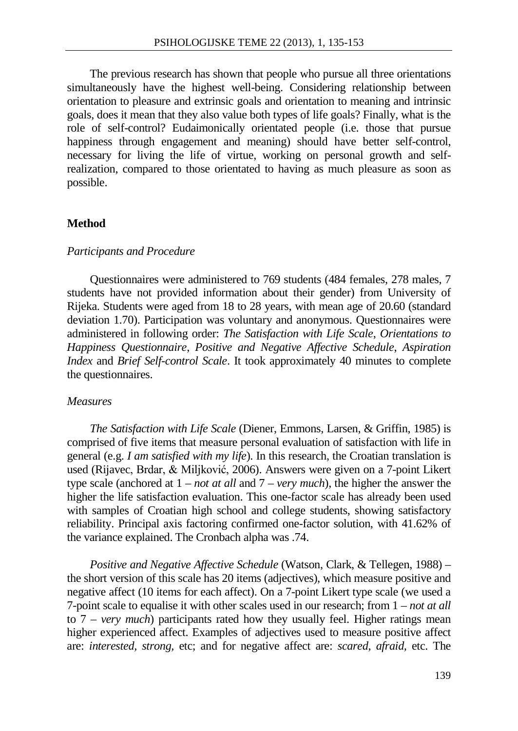The previous research has shown that people who pursue all three orientations simultaneously have the highest well-being. Considering relationship between orientation to pleasure and extrinsic goals and orientation to meaning and intrinsic goals, does it mean that they also value both types of life goals? Finally, what is the role of self-control? Eudaimonically orientated people (i.e. those that pursue happiness through engagement and meaning) should have better self-control, necessary for living the life of virtue, working on personal growth and selfrealization, compared to those orientated to having as much pleasure as soon as possible.

#### **Method**

#### *Participants and Procedure*

Questionnaires were administered to 769 students (484 females, 278 males, 7 students have not provided information about their gender) from University of Rijeka. Students were aged from 18 to 28 years, with mean age of 20.60 (standard deviation 1.70). Participation was voluntary and anonymous. Questionnaires were administered in following order: *The Satisfaction with Life Scale*, *Orientations to Happiness Questionnaire*, *Positive and Negative Affective Schedule*, *Aspiration Index* and *Brief Self-control Scale*. It took approximately 40 minutes to complete the questionnaires.

#### *Measures*

*The Satisfaction with Life Scale* (Diener, Emmons, Larsen, & Griffin, 1985) is comprised of five items that measure personal evaluation of satisfaction with life in general (e.g. *I am satisfied with my life*). In this research, the Croatian translation is used (Rijavec, Brdar, & Miljković, 2006). Answers were given on a 7-point Likert type scale (anchored at 1 – *not at all* and 7 – *very much*), the higher the answer the higher the life satisfaction evaluation. This one-factor scale has already been used with samples of Croatian high school and college students, showing satisfactory reliability. Principal axis factoring confirmed one-factor solution, with 41.62% of the variance explained. The Cronbach alpha was .74.

*Positive and Negative Affective Schedule* (Watson, Clark, & Tellegen, 1988) – the short version of this scale has 20 items (adjectives), which measure positive and negative affect (10 items for each affect). On a 7-point Likert type scale (we used a 7-point scale to equalise it with other scales used in our research; from 1 – *not at all* to 7 – *very much*) participants rated how they usually feel. Higher ratings mean higher experienced affect. Examples of adjectives used to measure positive affect are: *interested, strong,* etc; and for negative affect are: *scared, afraid,* etc. The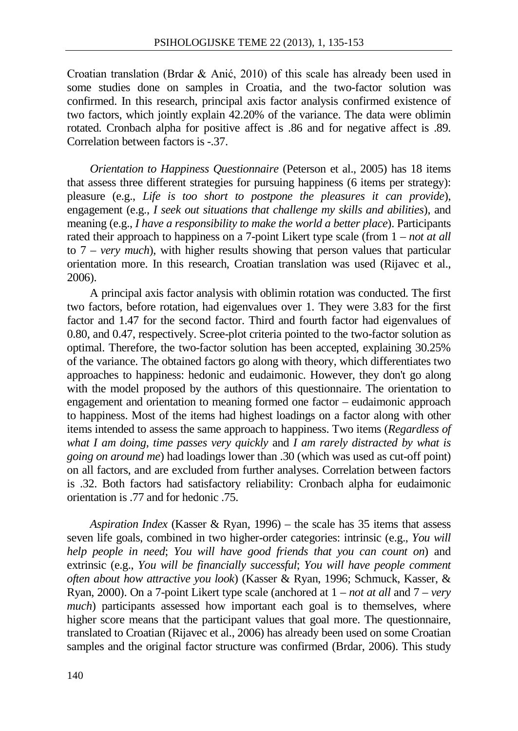Croatian translation (Brdar & Anić, 2010) of this scale has already been used in some studies done on samples in Croatia, and the two-factor solution was confirmed. In this research, principal axis factor analysis confirmed existence of two factors, which jointly explain 42.20% of the variance. The data were oblimin rotated. Cronbach alpha for positive affect is .86 and for negative affect is .89. Correlation between factors is - 37.

*Orientation to Happiness Questionnaire* (Peterson et al., 2005) has 18 items that assess three different strategies for pursuing happiness (6 items per strategy): pleasure (e.g., *Life is too short to postpone the pleasures it can provide*), engagement (e.g., *I seek out situations that challenge my skills and abilities*), and meaning (e.g., *I have a responsibility to make the world a better place*). Participants rated their approach to happiness on a 7-point Likert type scale (from 1 – *not at all* to 7 – *very much*), with higher results showing that person values that particular orientation more. In this research, Croatian translation was used (Rijavec et al., 2006).

A principal axis factor analysis with oblimin rotation was conducted. The first two factors, before rotation, had eigenvalues over 1. They were 3.83 for the first factor and 1.47 for the second factor. Third and fourth factor had eigenvalues of 0.80, and 0.47, respectively. Scree-plot criteria pointed to the two-factor solution as optimal. Therefore, the two-factor solution has been accepted, explaining 30.25% of the variance. The obtained factors go along with theory, which differentiates two approaches to happiness: hedonic and eudaimonic. However, they don't go along with the model proposed by the authors of this questionnaire. The orientation to engagement and orientation to meaning formed one factor – eudaimonic approach to happiness. Most of the items had highest loadings on a factor along with other items intended to assess the same approach to happiness. Two items (*Regardless of what I am doing, time passes very quickly* and *I am rarely distracted by what is going on around me*) had loadings lower than .30 (which was used as cut-off point) on all factors, and are excluded from further analyses. Correlation between factors is .32. Both factors had satisfactory reliability: Cronbach alpha for eudaimonic orientation is .77 and for hedonic .75.

*Aspiration Index* (Kasser & Ryan, 1996) – the scale has 35 items that assess seven life goals, combined in two higher-order categories: intrinsic (e.g., *You will help people in need*; *You will have good friends that you can count on*) and extrinsic (e.g., *You will be financially successful*; *You will have people comment often about how attractive you look*) (Kasser & Ryan, 1996; Schmuck, Kasser, & Ryan, 2000). On a 7-point Likert type scale (anchored at 1 – *not at all* and 7 – *very much*) participants assessed how important each goal is to themselves, where higher score means that the participant values that goal more. The questionnaire, translated to Croatian (Rijavec et al., 2006) has already been used on some Croatian samples and the original factor structure was confirmed (Brdar, 2006). This study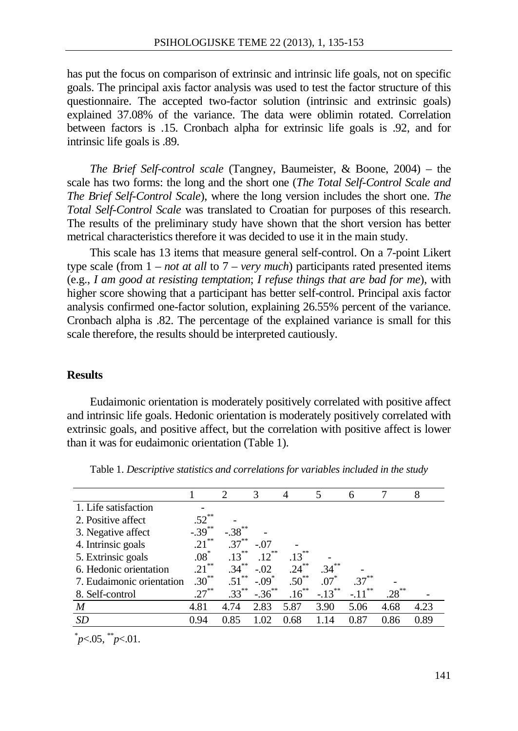has put the focus on comparison of extrinsic and intrinsic life goals, not on specific goals. The principal axis factor analysis was used to test the factor structure of this questionnaire. The accepted two-factor solution (intrinsic and extrinsic goals) explained 37.08% of the variance. The data were oblimin rotated. Correlation between factors is .15. Cronbach alpha for extrinsic life goals is .92, and for intrinsic life goals is .89.

*The Brief Self-control scale* (Tangney, Baumeister, & Boone, 2004) – the scale has two forms: the long and the short one (*The Total Self-Control Scale and The Brief Self-Control Scale*), where the long version includes the short one. *The Total Self-Control Scale* was translated to Croatian for purposes of this research. The results of the preliminary study have shown that the short version has better metrical characteristics therefore it was decided to use it in the main study.

This scale has 13 items that measure general self-control. On a 7-point Likert type scale (from 1 – *not at all* to 7 – *very much*) participants rated presented items (e.g., *I am good at resisting temptation*; *I refuse things that are bad for me*), with higher score showing that a participant has better self-control. Principal axis factor analysis confirmed one-factor solution, explaining 26.55% percent of the variance. Cronbach alpha is .82. The percentage of the explained variance is small for this scale therefore, the results should be interpreted cautiously.

### **Results**

Eudaimonic orientation is moderately positively correlated with positive affect and intrinsic life goals. Hedonic orientation is moderately positively correlated with extrinsic goals, and positive affect, but the correlation with positive affect is lower than it was for eudaimonic orientation (Table 1).

|                           |           | 2         | 3                   | 4          | 5         | 6            |          | 8    |
|---------------------------|-----------|-----------|---------------------|------------|-----------|--------------|----------|------|
| 1. Life satisfaction      |           |           |                     |            |           |              |          |      |
| 2. Positive affect        | $.52***$  |           |                     |            |           |              |          |      |
| 3. Negative affect        | $-.39***$ | $-.38***$ |                     |            |           |              |          |      |
| 4. Intrinsic goals        | **<br>.21 | $.37***$  | $-.07$              |            |           |              |          |      |
| 5. Extrinsic goals        | $.08^*$   | $.13***$  | $.12***$            | $.13***$   |           |              |          |      |
| 6. Hedonic orientation    | $.21***$  | $.34***$  | $-.02$              | $.24***$   | $.34***$  |              |          |      |
| 7. Eudaimonic orientation | $.30***$  | .51       | $-.09$ <sup>*</sup> | $.50^{**}$ | $.07*$    | .37          |          |      |
| 8. Self-control           | $.27***$  | $.33***$  | $-.36***$           | $.16***$   | $-.13***$ | 宗宗<br>$-.11$ | $.28***$ |      |
| M                         | 4.81      | 4.74      | 2.83                | 5.87       | 3.90      | 5.06         | 4.68     | 4.23 |
| SD                        | 0.94      | 0.85      | 1.02                | 0.68       | 1.14      | 0.87         | 0.86     | 0.89 |
| <b>Ski</b><br>sk sk       |           |           |                     |            |           |              |          |      |

Table 1. *Descriptive statistics and correlations for variables included in the study*

<sup>\*</sup> *p*<.05, \*\**p*<.01.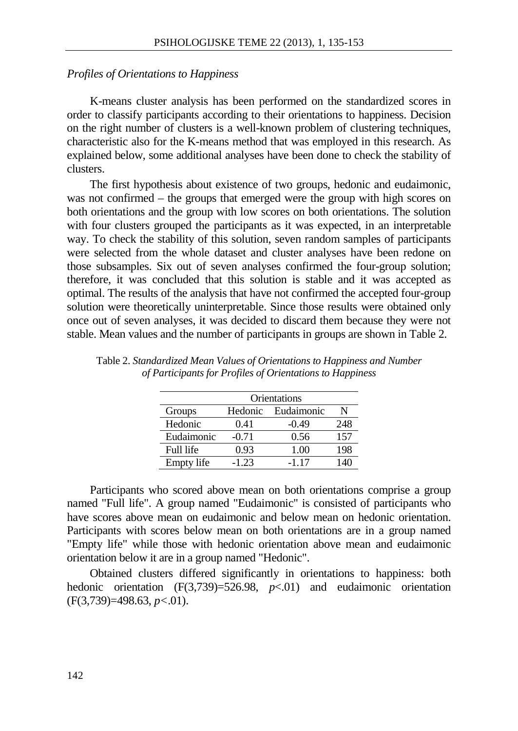#### *Profiles of Orientations to Happiness*

K-means cluster analysis has been performed on the standardized scores in order to classify participants according to their orientations to happiness. Decision on the right number of clusters is a well-known problem of clustering techniques, characteristic also for the K-means method that was employed in this research. As explained below, some additional analyses have been done to check the stability of clusters.

The first hypothesis about existence of two groups, hedonic and eudaimonic, was not confirmed – the groups that emerged were the group with high scores on both orientations and the group with low scores on both orientations. The solution with four clusters grouped the participants as it was expected, in an interpretable way. To check the stability of this solution, seven random samples of participants were selected from the whole dataset and cluster analyses have been redone on those subsamples. Six out of seven analyses confirmed the four-group solution; therefore, it was concluded that this solution is stable and it was accepted as optimal. The results of the analysis that have not confirmed the accepted four-group solution were theoretically uninterpretable. Since those results were obtained only once out of seven analyses, it was decided to discard them because they were not stable. Mean values and the number of participants in groups are shown in Table 2.

| Orientations |         |            |     |  |  |  |
|--------------|---------|------------|-----|--|--|--|
| Groups       | Hedonic | Eudaimonic |     |  |  |  |
| Hedonic      | 0.41    | -0.49      | 248 |  |  |  |
| Eudaimonic   | $-0.71$ | 0.56       | 157 |  |  |  |
| Full life    | 0.93    | 1.00       | 198 |  |  |  |
| Empty life   | $-1.23$ | $-1.17$    | 140 |  |  |  |

Table 2. *Standardized Mean Values of Orientations to Happiness and Number of Participants for Profiles of Orientations to Happiness*

Participants who scored above mean on both orientations comprise a group named "Full life". A group named "Eudaimonic" is consisted of participants who have scores above mean on eudaimonic and below mean on hedonic orientation. Participants with scores below mean on both orientations are in a group named "Empty life" while those with hedonic orientation above mean and eudaimonic orientation below it are in a group named "Hedonic".

Obtained clusters differed significantly in orientations to happiness: both hedonic orientation (F(3,739)=526.98, *p*<.01) and eudaimonic orientation (F(3,739)=498.63, *p<*.01).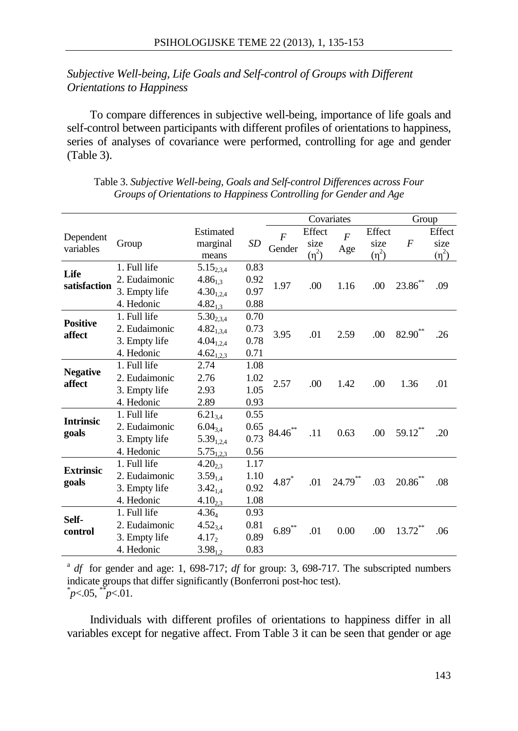# *Subjective Well-being, Life Goals and Self-control of Groups with Different Orientations to Happiness*

To compare differences in subjective well-being, importance of life goals and self-control between participants with different profiles of orientations to happiness, series of analyses of covariance were performed, controlling for age and gender (Table 3).

|                           |                                                              |                                                                      |                              | Covariates               |                              |                       |                              |                  | Group                        |  |
|---------------------------|--------------------------------------------------------------|----------------------------------------------------------------------|------------------------------|--------------------------|------------------------------|-----------------------|------------------------------|------------------|------------------------------|--|
| Dependent<br>variables    | Group                                                        | Estimated<br>marginal<br>means                                       | SD                           | $\overline{F}$<br>Gender | Effect<br>size<br>$(\eta^2)$ | $\overline{F}$<br>Age | Effect<br>size<br>$(\eta^2)$ | $\boldsymbol{F}$ | Effect<br>size<br>$(\eta^2)$ |  |
| Life<br>satisfaction      | 1. Full life<br>2. Eudaimonic<br>3. Empty life<br>4. Hedonic | $5.15_{234}$<br>$4.86_{1,3}$<br>$4.30_{1,2,4}$<br>$4.82_{1.3}$       | 0.83<br>0.92<br>0.97<br>0.88 | 1.97                     | .00                          | 1.16                  | .00                          | $23.86$ **       | .09                          |  |
| <b>Positive</b><br>affect | 1. Full life<br>2. Eudaimonic<br>3. Empty life<br>4. Hedonic | $5.30_{2,3,4}$<br>$4.82_{1,3,4}$<br>$4.04_{1,2,4}$<br>$4.62_{1,2,3}$ | 0.70<br>0.73<br>0.78<br>0.71 | 3.95                     | .01                          | 2.59                  | .00                          | $82.90**$        | .26                          |  |
| <b>Negative</b><br>affect | 1. Full life<br>2. Eudaimonic<br>3. Empty life<br>4. Hedonic | 2.74<br>2.76<br>2.93<br>2.89                                         | 1.08<br>1.02<br>1.05<br>0.93 | 2.57                     | .00                          | 1.42                  | .00                          | 1.36             | .01                          |  |
| <b>Intrinsic</b><br>goals | 1. Full life<br>2. Eudaimonic<br>3. Empty life<br>4. Hedonic | $6.21_{3,4}$<br>$6.04_{3,4}$<br>$5.39_{1,2,4}$<br>$5.75_{1,2,3}$     | 0.55<br>0.65<br>0.73<br>0.56 | $84.46***$               | .11                          | 0.63                  | .00                          | 59.12**          | .20                          |  |
| <b>Extrinsic</b><br>goals | 1. Full life<br>2. Eudaimonic<br>3. Empty life<br>4. Hedonic | $4.20_{2,3}$<br>$3.59_{1.4}$<br>$3.42_{1.4}$<br>$4.10_{2,3}$         | 1.17<br>1.10<br>0.92<br>1.08 | $4.87*$                  | .01                          | $24.79***$            | .03                          | $20.86$ **       | .08                          |  |
| Self-<br>control          | 1. Full life<br>2. Eudaimonic<br>3. Empty life<br>4. Hedonic | $4.36_4$<br>$4.52_{3,4}$<br>$4.17_2$<br>$3.98_{1,2}$                 | 0.93<br>0.81<br>0.89<br>0.83 | $6.89***$                | .01                          | 0.00                  | .00                          | $13.72***$       | .06                          |  |

Table 3. *Subjective Well-being, Goals and Self-control Differences across Four Groups of Orientations to Happiness Controlling for Gender and Age*

<sup>a</sup> *df* for gender and age: 1, 698-717; *df* for group: 3, 698-717. The subscripted numbers indicate groups that differ significantly (Bonferroni post-hoc test). \* *p*<.05, \*\**p*<.01.

Individuals with different profiles of orientations to happiness differ in all variables except for negative affect. From Table 3 it can be seen that gender or age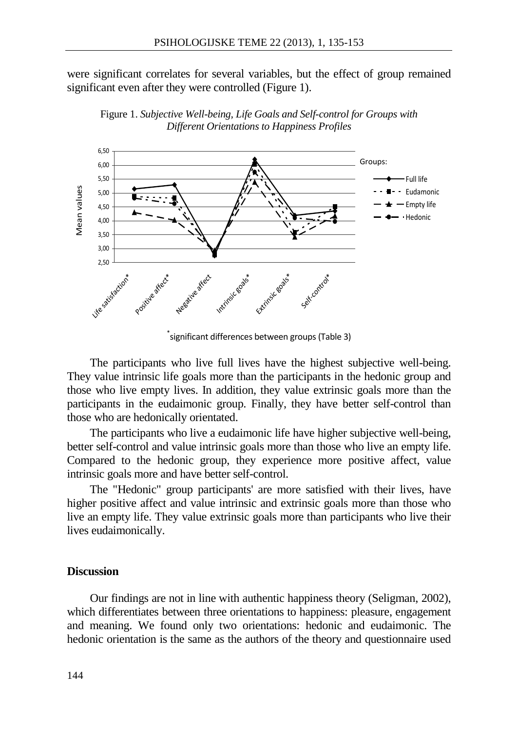were significant correlates for several variables, but the effect of group remained significant even after they were controlled (Figure 1).



Figure 1. *Subjective Well-being, Life Goals and Self-control for Groups with Different Orientations to Happiness Profiles*

The participants who live full lives have the highest subjective well-being. They value intrinsic life goals more than the participants in the hedonic group and those who live empty lives. In addition, they value extrinsic goals more than the participants in the eudaimonic group. Finally, they have better self-control than those who are hedonically orientated.

The participants who live a eudaimonic life have higher subjective well-being, better self-control and value intrinsic goals more than those who live an empty life. Compared to the hedonic group, they experience more positive affect, value intrinsic goals more and have better self-control.

The "Hedonic" group participants' are more satisfied with their lives, have higher positive affect and value intrinsic and extrinsic goals more than those who live an empty life. They value extrinsic goals more than participants who live their lives eudaimonically.

### **Discussion**

Our findings are not in line with authentic happiness theory (Seligman, 2002), which differentiates between three orientations to happiness: pleasure, engagement and meaning. We found only two orientations: hedonic and eudaimonic. The hedonic orientation is the same as the authors of the theory and questionnaire used

<sup>\*</sup> significant differences between groups (Table 3)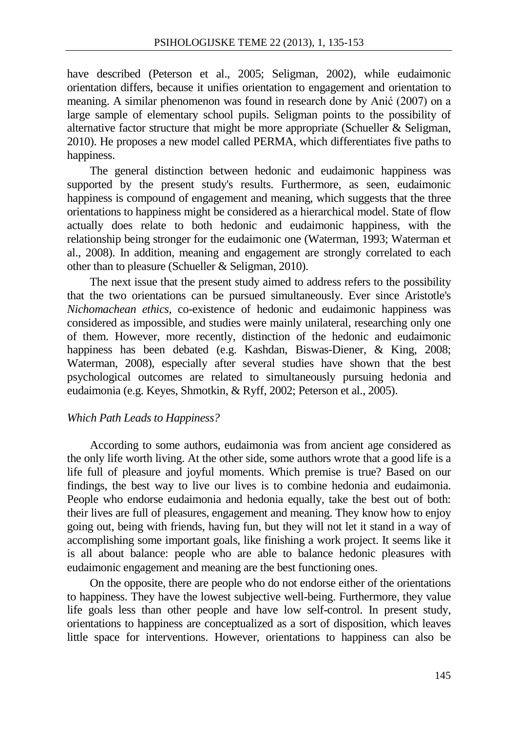have described (Peterson et al., 2005; Seligman, 2002), while eudaimonic orientation differs, because it unifies orientation to engagement and orientation to meaning. A similar phenomenon was found in research done by Anić (2007) on a large sample of elementary school pupils. Seligman points to the possibility of alternative factor structure that might be more appropriate (Schueller  $\&$  Seligman, 2010). He proposes a new model called PERMA, which differentiates five paths to happiness.

The general distinction between hedonic and eudaimonic happiness was supported by the present study's results. Furthermore, as seen, eudaimonic happiness is compound of engagement and meaning, which suggests that the three orientations to happiness might be considered as a hierarchical model. State of flow actually does relate to both hedonic and eudaimonic happiness, with the relationship being stronger for the eudaimonic one (Waterman, 1993; Waterman et al., 2008). In addition, meaning and engagement are strongly correlated to each other than to pleasure (Schueller & Seligman, 2010).

The next issue that the present study aimed to address refers to the possibility that the two orientations can be pursued simultaneously. Ever since Aristotle's *Nichomachean ethics*, co-existence of hedonic and eudaimonic happiness was considered as impossible, and studies were mainly unilateral, researching only one of them. However, more recently, distinction of the hedonic and eudaimonic happiness has been debated (e.g. Kashdan, Biswas-Diener, & King, 2008; Waterman, 2008), especially after several studies have shown that the best psychological outcomes are related to simultaneously pursuing hedonia and eudaimonia (e.g. Keyes, Shmotkin, & Ryff, 2002; Peterson et al., 2005).

### *Which Path Leads to Happiness?*

According to some authors, eudaimonia was from ancient age considered as the only life worth living. At the other side, some authors wrote that a good life is a life full of pleasure and joyful moments. Which premise is true? Based on our findings, the best way to live our lives is to combine hedonia and eudaimonia. People who endorse eudaimonia and hedonia equally, take the best out of both: their lives are full of pleasures, engagement and meaning. They know how to enjoy going out, being with friends, having fun, but they will not let it stand in a way of accomplishing some important goals, like finishing a work project. It seems like it is all about balance: people who are able to balance hedonic pleasures with eudaimonic engagement and meaning are the best functioning ones.

On the opposite, there are people who do not endorse either of the orientations to happiness. They have the lowest subjective well-being. Furthermore, they value life goals less than other people and have low self-control. In present study, orientations to happiness are conceptualized as a sort of disposition, which leaves little space for interventions. However, orientations to happiness can also be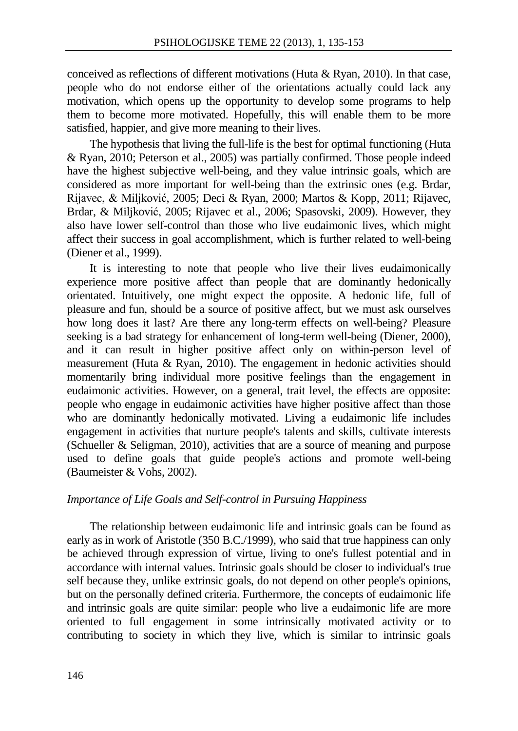conceived as reflections of different motivations (Huta & Ryan, 2010). In that case, people who do not endorse either of the orientations actually could lack any motivation, which opens up the opportunity to develop some programs to help them to become more motivated. Hopefully, this will enable them to be more satisfied, happier, and give more meaning to their lives.

The hypothesis that living the full-life is the best for optimal functioning (Huta & Ryan, 2010; Peterson et al., 2005) was partially confirmed. Those people indeed have the highest subjective well-being, and they value intrinsic goals, which are considered as more important for well-being than the extrinsic ones (e.g. Brdar, Rijavec, & Miljković, 2005; Deci & Ryan, 2000; Martos & Kopp, 2011; Rijavec, Brdar, & Miljković, 2005; Rijavec et al., 2006; Spasovski, 2009). However, they also have lower self-control than those who live eudaimonic lives, which might affect their success in goal accomplishment, which is further related to well-being (Diener et al., 1999).

It is interesting to note that people who live their lives eudaimonically experience more positive affect than people that are dominantly hedonically orientated. Intuitively, one might expect the opposite. A hedonic life, full of pleasure and fun, should be a source of positive affect, but we must ask ourselves how long does it last? Are there any long-term effects on well-being? Pleasure seeking is a bad strategy for enhancement of long-term well-being (Diener, 2000), and it can result in higher positive affect only on within-person level of measurement (Huta & Ryan, 2010). The engagement in hedonic activities should momentarily bring individual more positive feelings than the engagement in eudaimonic activities. However, on a general, trait level, the effects are opposite: people who engage in eudaimonic activities have higher positive affect than those who are dominantly hedonically motivated. Living a eudaimonic life includes engagement in activities that nurture people's talents and skills, cultivate interests (Schueller & Seligman, 2010), activities that are a source of meaning and purpose used to define goals that guide people's actions and promote well-being (Baumeister & Vohs, 2002).

# *Importance of Life Goals and Self-control in Pursuing Happiness*

The relationship between eudaimonic life and intrinsic goals can be found as early as in work of Aristotle (350 B.C./1999), who said that true happiness can only be achieved through expression of virtue, living to one's fullest potential and in accordance with internal values. Intrinsic goals should be closer to individual's true self because they, unlike extrinsic goals, do not depend on other people's opinions, but on the personally defined criteria. Furthermore, the concepts of eudaimonic life and intrinsic goals are quite similar: people who live a eudaimonic life are more oriented to full engagement in some intrinsically motivated activity or to contributing to society in which they live, which is similar to intrinsic goals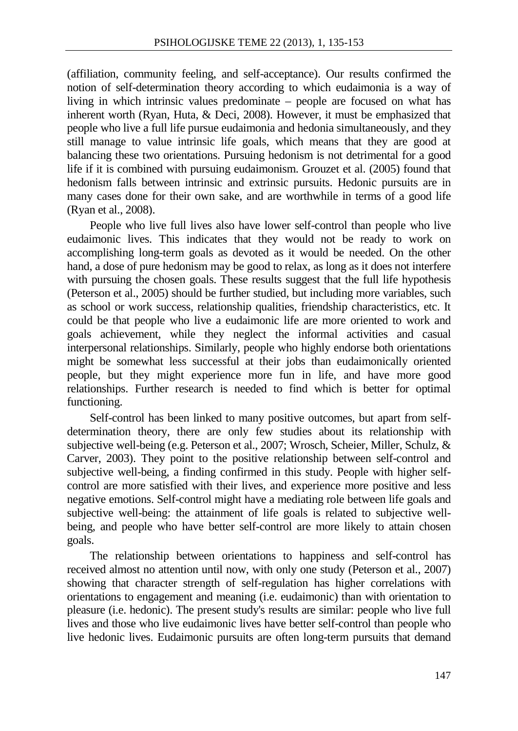(affiliation, community feeling, and self-acceptance). Our results confirmed the notion of self-determination theory according to which eudaimonia is a way of living in which intrinsic values predominate – people are focused on what has inherent worth (Ryan, Huta, & Deci, 2008). However, it must be emphasized that people who live a full life pursue eudaimonia and hedonia simultaneously, and they still manage to value intrinsic life goals, which means that they are good at balancing these two orientations. Pursuing hedonism is not detrimental for a good life if it is combined with pursuing eudaimonism. Grouzet et al. (2005) found that hedonism falls between intrinsic and extrinsic pursuits. Hedonic pursuits are in many cases done for their own sake, and are worthwhile in terms of a good life (Ryan et al., 2008).

People who live full lives also have lower self-control than people who live eudaimonic lives. This indicates that they would not be ready to work on accomplishing long-term goals as devoted as it would be needed. On the other hand, a dose of pure hedonism may be good to relax, as long as it does not interfere with pursuing the chosen goals. These results suggest that the full life hypothesis (Peterson et al., 2005) should be further studied, but including more variables, such as school or work success, relationship qualities, friendship characteristics, etc. It could be that people who live a eudaimonic life are more oriented to work and goals achievement, while they neglect the informal activities and casual interpersonal relationships. Similarly, people who highly endorse both orientations might be somewhat less successful at their jobs than eudaimonically oriented people, but they might experience more fun in life, and have more good relationships. Further research is needed to find which is better for optimal functioning.

Self-control has been linked to many positive outcomes, but apart from selfdetermination theory, there are only few studies about its relationship with subjective well-being (e.g. Peterson et al., 2007; Wrosch, Scheier, Miller, Schulz, & Carver, 2003). They point to the positive relationship between self-control and subjective well-being, a finding confirmed in this study. People with higher selfcontrol are more satisfied with their lives, and experience more positive and less negative emotions. Self-control might have a mediating role between life goals and subjective well-being: the attainment of life goals is related to subjective wellbeing, and people who have better self-control are more likely to attain chosen goals.

The relationship between orientations to happiness and self-control has received almost no attention until now, with only one study (Peterson et al., 2007) showing that character strength of self-regulation has higher correlations with orientations to engagement and meaning (i.e. eudaimonic) than with orientation to pleasure (i.e. hedonic). The present study's results are similar: people who live full lives and those who live eudaimonic lives have better self-control than people who live hedonic lives. Eudaimonic pursuits are often long-term pursuits that demand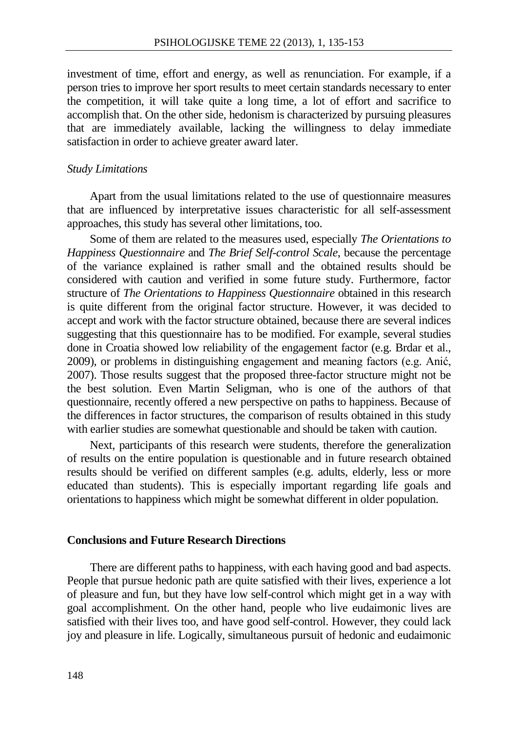investment of time, effort and energy, as well as renunciation. For example, if a person tries to improve her sport results to meet certain standards necessary to enter the competition, it will take quite a long time, a lot of effort and sacrifice to accomplish that. On the other side, hedonism is characterized by pursuing pleasures that are immediately available, lacking the willingness to delay immediate satisfaction in order to achieve greater award later.

## *Study Limitations*

Apart from the usual limitations related to the use of questionnaire measures that are influenced by interpretative issues characteristic for all self-assessment approaches, this study has several other limitations, too.

Some of them are related to the measures used, especially *The Orientations to Happiness Questionnaire* and *The Brief Self-control Scale*, because the percentage of the variance explained is rather small and the obtained results should be considered with caution and verified in some future study. Furthermore, factor structure of *The Orientations to Happiness Questionnaire* obtained in this research is quite different from the original factor structure. However, it was decided to accept and work with the factor structure obtained, because there are several indices suggesting that this questionnaire has to be modified. For example, several studies done in Croatia showed low reliability of the engagement factor (e.g. Brdar et al., 2009), or problems in distinguishing engagement and meaning factors (e.g. Anić, 2007). Those results suggest that the proposed three-factor structure might not be the best solution. Even Martin Seligman, who is one of the authors of that questionnaire, recently offered a new perspective on paths to happiness. Because of the differences in factor structures, the comparison of results obtained in this study with earlier studies are somewhat questionable and should be taken with caution.

Next, participants of this research were students, therefore the generalization of results on the entire population is questionable and in future research obtained results should be verified on different samples (e.g. adults, elderly, less or more educated than students). This is especially important regarding life goals and orientations to happiness which might be somewhat different in older population.

### **Conclusions and Future Research Directions**

There are different paths to happiness, with each having good and bad aspects. People that pursue hedonic path are quite satisfied with their lives, experience a lot of pleasure and fun, but they have low self-control which might get in a way with goal accomplishment. On the other hand, people who live eudaimonic lives are satisfied with their lives too, and have good self-control. However, they could lack joy and pleasure in life. Logically, simultaneous pursuit of hedonic and eudaimonic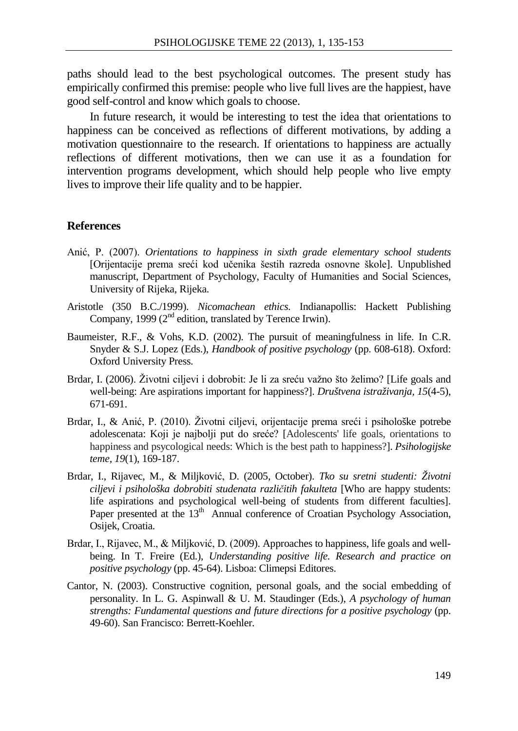paths should lead to the best psychological outcomes. The present study has empirically confirmed this premise: people who live full lives are the happiest, have good self-control and know which goals to choose.

In future research, it would be interesting to test the idea that orientations to happiness can be conceived as reflections of different motivations, by adding a motivation questionnaire to the research. If orientations to happiness are actually reflections of different motivations, then we can use it as a foundation for intervention programs development, which should help people who live empty lives to improve their life quality and to be happier.

### **References**

- Anić, P. (2007). *Orientations to happiness in sixth grade elementary school students* [Orijentacije prema sreći kod učenika šestih razreda osnovne škole]. Unpublished manuscript, Department of Psychology, Faculty of Humanities and Social Sciences, University of Rijeka, Rijeka.
- Aristotle (350 B.C./1999). *Nicomachean ethics*. Indianapollis: Hackett Publishing Company, 1999 (2<sup>nd</sup> edition, translated by Terence Irwin).
- Baumeister, R.F., & Vohs, K.D. (2002). The pursuit of meaningfulness in life. In C.R. Snyder & S.J. Lopez (Eds.), *Handbook of positive psychology* (pp. 608-618). Oxford: Oxford University Press.
- Brdar, I. (2006). Životni ciljevi i dobrobit: Je li za sreću važno što želimo? [Life goals and well-being: Are aspirations important for happiness?]. *Društvena istraživanja, 15*(4-5), 671-691.
- Brdar, I., & Anić, P. (2010). Životni ciljevi, orijentacije prema sreći i psihološke potrebe adolescenata: Koji je najbolji put do sreće? [Adolescents' life goals, orientations to happiness and psycological needs: Which is the best path to happiness?]. *Psihologijske teme, 19*(1), 169-187.
- Brdar, I., Rijavec, M., & Miljković, D. (2005, October). *Tko su sretni studenti: Životni ciljevi i psihološka dobrobiti studenata različitih fakulteta* [Who are happy students: life aspirations and psychological well-being of students from different faculties]. Paper presented at the 13<sup>th</sup> Annual conference of Croatian Psychology Association, Osijek, Croatia.
- Brdar, I., Rijavec, M., & Miljković, D. (2009). Approaches to happiness, life goals and wellbeing. In T. Freire (Ed.), *Understanding positive life. Research and practice on positive psychology* (pp. 45-64). Lisboa: Climepsi Editores.
- Cantor, N. (2003). Constructive cognition, personal goals, and the social embedding of personality. In L. G. Aspinwall & U. M. Staudinger (Eds.), *A psychology of human strengths: Fundamental questions and future directions for a positive psychology* (pp. 49-60). San Francisco: Berrett-Koehler.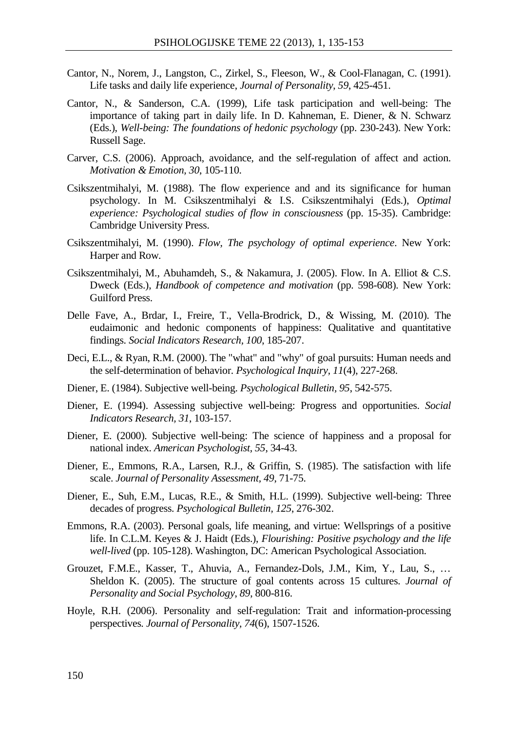- Cantor, N., Norem, J., Langston, C., Zirkel, S., Fleeson, W., & Cool-Flanagan, C. (1991). Life tasks and daily life experience, *Journal of Personality*, *59*, 425-451.
- Cantor, N., & Sanderson, C.A. (1999), Life task participation and well-being: The importance of taking part in daily life. In D. Kahneman, E. Diener, & N. Schwarz (Eds.), *Well-being: The foundations of hedonic psychology* (pp. 230-243). New York: Russell Sage.
- Carver, C.S. (2006). Approach, avoidance, and the self-regulation of affect and action. *Motivation & Emotion, 30*, 105-110.
- Csikszentmihalyi, M. (1988). The flow experience and and its significance for human psychology. In M. Csikszentmihalyi & I.S. Csikszentmihalyi (Eds.), *Optimal experience: Psychological studies of flow in consciousness* (pp. 15-35). Cambridge: Cambridge University Press.
- Csikszentmihalyi, M. (1990). *Flow, The psychology of optimal experience*. New York: Harper and Row.
- Csikszentmihalyi, M., Abuhamdeh, S., & Nakamura, J. (2005). Flow. In A. Elliot & C.S. Dweck (Eds.), *Handbook of competence and motivation* (pp. 598-608). New York: Guilford Press.
- Delle Fave, A., Brdar, I., Freire, T., Vella-Brodrick, D., & Wissing, M. (2010). The eudaimonic and hedonic components of happiness: Qualitative and quantitative findings. *Social Indicators Research, 100*, 185-207.
- Deci, E.L., & Ryan, R.M. (2000). The "what" and "why" of goal pursuits: Human needs and the self-determination of behavior. *Psychological Inquiry, 11*(4), 227-268.
- Diener, E. (1984). Subjective well-being. *Psychological Bulletin, 95*, 542-575.
- Diener, E. (1994). Assessing subjective well-being: Progress and opportunities. *Social Indicators Research, 31*, 103-157.
- Diener, E. (2000). Subjective well-being: The science of happiness and a proposal for national index. *American Psychologist, 55*, 34-43.
- Diener, E., Emmons, R.A., Larsen, R.J., & Griffin, S. (1985). The satisfaction with life scale. *Journal of Personality Assessment, 49*, 71-75.
- Diener, E., Suh, E.M., Lucas, R.E., & Smith, H.L. (1999). Subjective well-being: Three decades of progress. *Psychological Bulletin, 125*, 276-302.
- Emmons, R.A. (2003). Personal goals, life meaning, and virtue: Wellsprings of a positive life. In C.L.M. Keyes & J. Haidt (Eds.), *Flourishing: Positive psychology and the life well-lived* (pp. 105-128). Washington, DC: American Psychological Association.
- Grouzet, F.M.E., Kasser, T., Ahuvia, A., Fernandez-Dols, J.M., Kim, Y., Lau, S., … Sheldon K. (2005). The structure of goal contents across 15 cultures. *Journal of Personality and Social Psychology*, *89*, 800-816.
- Hoyle, R.H. (2006). Personality and self-regulation: Trait and information-processing perspectives. *Journal of Personality, 74*(6), 1507-1526.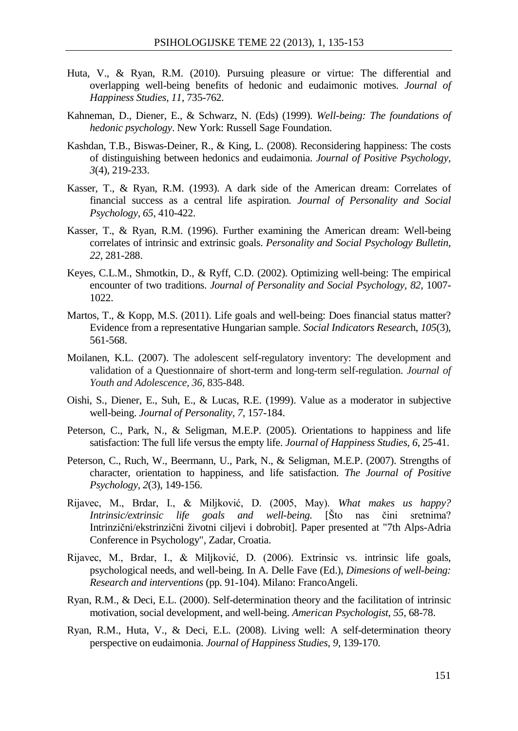- Huta, V., & Ryan, R.M. (2010). Pursuing pleasure or virtue: The differential and overlapping well-being benefits of hedonic and eudaimonic motives. *Journal of Happiness Studies, 11*, 735-762.
- Kahneman, D., Diener, E., & Schwarz, N. (Eds) (1999). *Well-being: The foundations of hedonic psychology*. New York: Russell Sage Foundation.
- Kashdan, T.B., Biswas-Deiner, R., & King, L. (2008). Reconsidering happiness: The costs of distinguishing between hedonics and eudaimonia. *Journal of Positive Psychology, 3*(4), 219-233.
- Kasser, T., & Ryan, R.M. (1993). A dark side of the American dream: Correlates of financial success as a central life aspiration*. Journal of Personality and Social Psychology, 65*, 410-422.
- Kasser, T., & Ryan, R.M. (1996). Further examining the American dream: Well-being correlates of intrinsic and extrinsic goals. *Personality and Social Psychology Bulletin, 22*, 281-288.
- Keyes, C.L.M., Shmotkin, D., & Ryff, C.D. (2002). Optimizing well-being: The empirical encounter of two traditions. *Journal of Personality and Social Psychology, 82, 1007-*1022.
- Martos, T., & Kopp, M.S. (2011). Life goals and well-being: Does financial status matter? Evidence from a representative Hungarian sample. *Social Indicators Researc*h, *105*(3), 561-568.
- Moilanen, K.L. (2007). The adolescent self-regulatory inventory: The development and validation of a Questionnaire of short-term and long-term self-regulation. *Journal of Youth and Adolescence, 36*, 835-848.
- Oishi, S., Diener, E., Suh, E., & Lucas, R.E. (1999). Value as a moderator in subjective well-being. *Journal of Personality, 7*, 157-184.
- Peterson, C., Park, N., & Seligman, M.E.P. (2005). Orientations to happiness and life satisfaction: The full life versus the empty life. *Journal of Happiness Studies, 6*, 25-41.
- Peterson, C., Ruch, W., Beermann, U., Park, N., & Seligman, M.E.P. (2007). Strengths of character, orientation to happiness, and life satisfaction. *The Journal of Positive Psychology, 2*(3), 149-156.
- Rijavec, M., Brdar, I., & Miljković, D. (2005, May). *What makes us happy? Intrinsic/extrinsic life goals and well-being.* [Što nas čini sretnima? Intrinzični/ekstrinzični životni ciljevi i dobrobit]. Paper presented at "7th Alps-Adria Conference in Psychology", Zadar, Croatia.
- Rijavec, M., Brdar, I., & Miljković, D. (2006). Extrinsic vs. intrinsic life goals, psychological needs, and well-being. In A. Delle Fave (Ed.), *Dimesions of well-being: Research and interventions* (pp. 91-104). Milano: FrancoAngeli.
- Ryan, R.M., & Deci, E.L. (2000). Self-determination theory and the facilitation of intrinsic motivation, social development, and well-being. *American Psychologist, 55,* 68-78.
- Ryan, R.M., Huta, V., & Deci, E.L. (2008). Living well: A self-determination theory perspective on eudaimonia. *Journal of Happiness Studies, 9,* 139-170.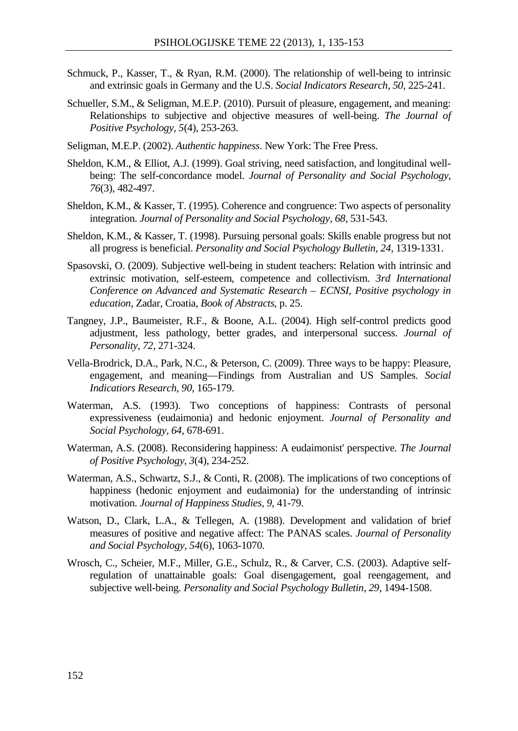- Schmuck, P., Kasser, T., & Ryan, R.M. (2000). The relationship of well-being to intrinsic and extrinsic goals in Germany and the U.S. *Social Indicators Research*, *50*, 225-241.
- Schueller, S.M., & Seligman, M.E.P. (2010). Pursuit of pleasure, engagement, and meaning: Relationships to subjective and objective measures of well-being. *The Journal of Positive Psychology, 5*(4), 253-263.
- Seligman, M.E.P. (2002). *Authentic happiness*. New York: The Free Press.
- Sheldon, K.M., & Elliot, A.J. (1999). Goal striving, need satisfaction, and longitudinal wellbeing: The self-concordance model. *Journal of Personality and Social Psychology, 76*(3), 482-497.
- Sheldon, K.M., & Kasser, T. (1995). Coherence and congruence: Two aspects of personality integration. *Journal of Personality and Social Psychology, 68*, 531-543.
- Sheldon, K.M., & Kasser, T. (1998). Pursuing personal goals: Skills enable progress but not all progress is beneficial. *Personality and Social Psychology Bulletin, 24,* 1319-1331.
- Spasovski, O. (2009). Subjective well-being in student teachers: Relation with intrinsic and extrinsic motivation, self-esteem, competence and collectivism. *3rd International Conference on Advanced and Systematic Research – ECNSI, Positive psychology in education*, Zadar, Croatia, *Book of Abstracts,* p. 25.
- Tangney, J.P., Baumeister, R.F., & Boone, A.L. (2004). High self-control predicts good adjustment, less pathology, better grades, and interpersonal success. *Journal of Personality, 72*, 271-324.
- Vella-Brodrick, D.A., Park, N.C., & Peterson, C. (2009). Three ways to be happy: Pleasure, engagement, and meaning—Findings from Australian and US Samples. *Social Indicatiors Research, 90*, 165-179.
- Waterman, A.S. (1993). Two conceptions of happiness: Contrasts of personal expressiveness (eudaimonia) and hedonic enjoyment. *Journal of Personality and Social Psychology, 64*, 678-691.
- Waterman, A.S. (2008). Reconsidering happiness: A eudaimonist' perspective. *The Journal of Positive Psychology, 3*(4), 234-252.
- Waterman, A.S., Schwartz, S.J., & Conti, R. (2008). The implications of two conceptions of happiness (hedonic enjoyment and eudaimonia) for the understanding of intrinsic motivation. *Journal of Happiness Studies, 9*, 41-79.
- Watson, D., Clark, L.A., & Tellegen, A. (1988). Development and validation of brief measures of positive and negative affect: The PANAS scales. *Journal of Personality and Social Psychology, 54*(6), 1063-1070.
- Wrosch, C., Scheier, M.F., Miller, G.E., Schulz, R., & Carver, C.S. (2003). Adaptive selfregulation of unattainable goals: Goal disengagement, goal reengagement, and subjective well-being. *Personality and Social Psychology Bulletin, 29*, 1494-1508.